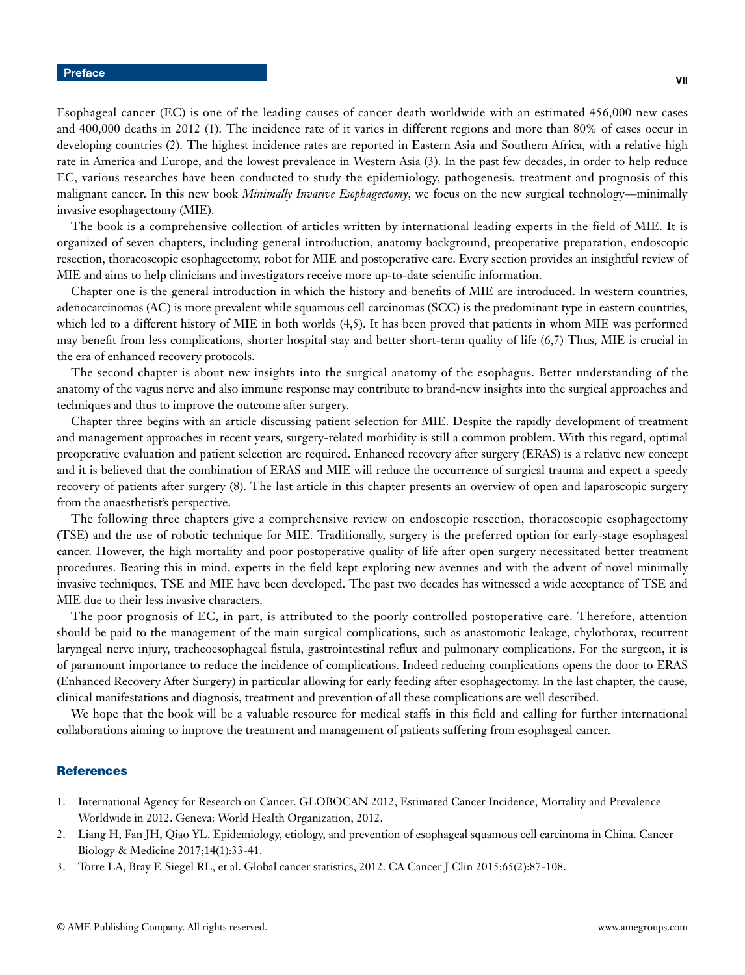Esophageal cancer (EC) is one of the leading causes of cancer death worldwide with an estimated 456,000 new cases and 400,000 deaths in 2012 (1). The incidence rate of it varies in different regions and more than 80% of cases occur in developing countries (2). The highest incidence rates are reported in Eastern Asia and Southern Africa, with a relative high rate in America and Europe, and the lowest prevalence in Western Asia (3). In the past few decades, in order to help reduce EC, various researches have been conducted to study the epidemiology, pathogenesis, treatment and prognosis of this malignant cancer. In this new book *Minimally Invasive Esophagectomy*, we focus on the new surgical technology—minimally invasive esophagectomy (MIE).

The book is a comprehensive collection of articles written by international leading experts in the field of MIE. It is organized of seven chapters, including general introduction, anatomy background, preoperative preparation, endoscopic resection, thoracoscopic esophagectomy, robot for MIE and postoperative care. Every section provides an insightful review of MIE and aims to help clinicians and investigators receive more up-to-date scientific information.

Chapter one is the general introduction in which the history and benefits of MIE are introduced. In western countries, adenocarcinomas (AC) is more prevalent while squamous cell carcinomas (SCC) is the predominant type in eastern countries, which led to a different history of MIE in both worlds (4,5). It has been proved that patients in whom MIE was performed may benefit from less complications, shorter hospital stay and better short-term quality of life (6,7) Thus, MIE is crucial in the era of enhanced recovery protocols.

The second chapter is about new insights into the surgical anatomy of the esophagus. Better understanding of the anatomy of the vagus nerve and also immune response may contribute to brand-new insights into the surgical approaches and techniques and thus to improve the outcome after surgery.

Chapter three begins with an article discussing patient selection for MIE. Despite the rapidly development of treatment and management approaches in recent years, surgery-related morbidity is still a common problem. With this regard, optimal preoperative evaluation and patient selection are required. Enhanced recovery after surgery (ERAS) is a relative new concept and it is believed that the combination of ERAS and MIE will reduce the occurrence of surgical trauma and expect a speedy recovery of patients after surgery (8). The last article in this chapter presents an overview of open and laparoscopic surgery from the anaesthetist's perspective.

The following three chapters give a comprehensive review on endoscopic resection, thoracoscopic esophagectomy (TSE) and the use of robotic technique for MIE. Traditionally, surgery is the preferred option for early-stage esophageal cancer. However, the high mortality and poor postoperative quality of life after open surgery necessitated better treatment procedures. Bearing this in mind, experts in the field kept exploring new avenues and with the advent of novel minimally invasive techniques, TSE and MIE have been developed. The past two decades has witnessed a wide acceptance of TSE and MIE due to their less invasive characters.

The poor prognosis of EC, in part, is attributed to the poorly controlled postoperative care. Therefore, attention should be paid to the management of the main surgical complications, such as anastomotic leakage, chylothorax, recurrent laryngeal nerve injury, tracheoesophageal fistula, gastrointestinal reflux and pulmonary complications. For the surgeon, it is of paramount importance to reduce the incidence of complications. Indeed reducing complications opens the door to ERAS (Enhanced Recovery After Surgery) in particular allowing for early feeding after esophagectomy. In the last chapter, the cause, clinical manifestations and diagnosis, treatment and prevention of all these complications are well described.

We hope that the book will be a valuable resource for medical staffs in this field and calling for further international collaborations aiming to improve the treatment and management of patients suffering from esophageal cancer.

## **References**

- 1. International Agency for Research on Cancer. GLOBOCAN 2012, Estimated Cancer Incidence, Mortality and Prevalence Worldwide in 2012. Geneva: World Health Organization, 2012.
- 2. Liang H, Fan JH, Qiao YL. Epidemiology, etiology, and prevention of esophageal squamous cell carcinoma in China. Cancer Biology & Medicine 2017;14(1):33-41.
- 3. Torre LA, Bray F, Siegel RL, et al. Global cancer statistics, 2012. CA Cancer J Clin 2015;65(2):87-108.